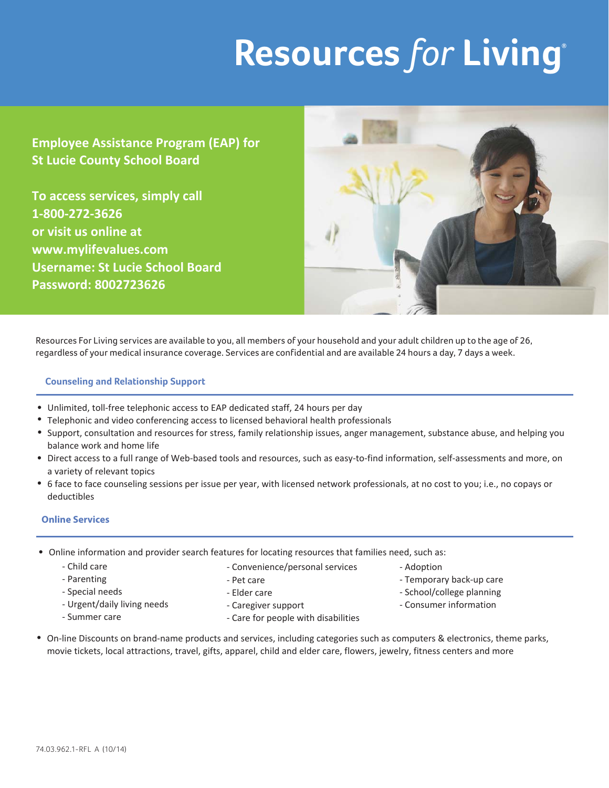# **Resources** *for* **Living®**

**Employee Assistance Program (EAP) for St Lucie County School Board** 

**To access services, simply call 1-800-272-3626 or visit us online at www.mylifevalues.com Username: St Lucie School Board Password: 8002723626**



Resources For Living services are available to you, all members of your household and your adult children up to the age of 26, regardless of your medical insurance coverage. Services are confidential and are available 24 hours a day, 7 days a week.

### **Counseling and Relationship Support**

- Unlimited, toll-free telephonic access to EAP dedicated staff, 24 hours per day
- Telephonic and video conferencing access to licensed behavioral health professionals
- Support, consultation and resources for stress, family relationship issues, anger management, substance abuse, and helping you balance work and home life
- Direct access to a full range of Web-based tools and resources, such as easy-to-find information, self-assessments and more, on a variety of relevant topics
- 6 face to face counseling sessions per issue per year, with licensed network professionals, at no cost to you; i.e., no copays or deductibles

## **Online Services**

• Online information and provider search features for locating resources that families need, such as:

- Pet care - Elder care

- Child care
- Parenting
- Special needs
- Urgent/daily living needs
- Summer care
- Caregiver support
	- Care for people with disabilities

- Convenience/personal services

- Adoption
- Temporary back-up care
- School/college planning
- Consumer information
- On-line Discounts on brand-name products and services, including categories such as computers & electronics, theme parks, movie tickets, local attractions, travel, gifts, apparel, child and elder care, flowers, jewelry, fitness centers and more